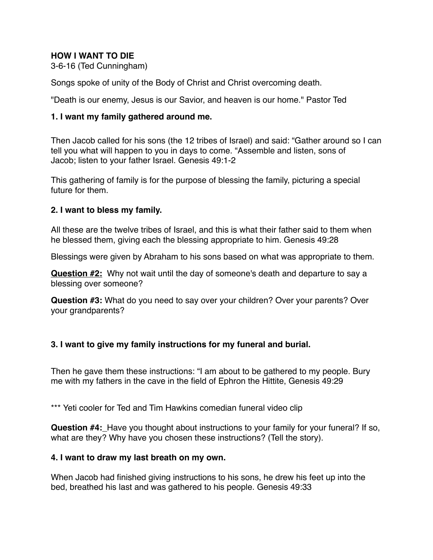# **HOW I WANT TO DIE**

3-6-16 (Ted Cunningham)

Songs spoke of unity of the Body of Christ and Christ overcoming death. !

"Death is our enemy, Jesus is our Savior, and heaven is our home." Pastor Ted

#### **1. I want my family gathered around me.**

Then Jacob called for his sons (the 12 tribes of Israel) and said: "Gather around so I can tell you what will happen to you in days to come. "Assemble and listen, sons of Jacob; listen to your father Israel. Genesis 49:1-2

This gathering of family is for the purpose of blessing the family, picturing a special future for them.

#### **2. I want to bless my family.**

All these are the twelve tribes of Israel, and this is what their father said to them when he blessed them, giving each the blessing appropriate to him. Genesis 49:28

Blessings were given by Abraham to his sons based on what was appropriate to them.

**Question #2:** Why not wait until the day of someone's death and departure to say a blessing over someone?

**Question #3:** What do you need to say over your children? Over your parents? Over your grandparents? !

#### **3. I want to give my family instructions for my funeral and burial.**

Then he gave them these instructions: "I am about to be gathered to my people. Bury me with my fathers in the cave in the field of Ephron the Hittite, Genesis 49:29

\*\*\* Yeti cooler for Ted and Tim Hawkins comedian funeral video clip

**Question #4:** Have you thought about instructions to your family for your funeral? If so, what are they? Why have you chosen these instructions? (Tell the story).

#### **4. I want to draw my last breath on my own.**

When Jacob had finished giving instructions to his sons, he drew his feet up into the bed, breathed his last and was gathered to his people. Genesis 49:33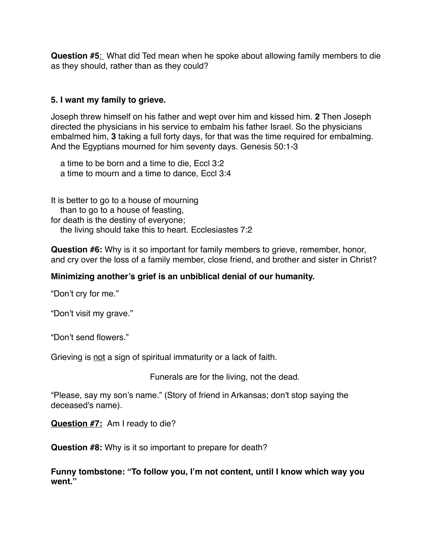**Question #5**: What did Ted mean when he spoke about allowing family members to die as they should, rather than as they could?

# **5. I want my family to grieve.**

Joseph threw himself on his father and wept over him and kissed him. **2** Then Joseph directed the physicians in his service to embalm his father Israel. So the physicians embalmed him, **3** taking a full forty days, for that was the time required for embalming. And the Egyptians mourned for him seventy days. Genesis 50:1-3

 a time to be born and a time to die, Eccl 3:2 a time to mourn and a time to dance, Eccl 3:4

It is better to go to a house of mourning than to go to a house of feasting, for death is the destiny of everyone; the living should take this to heart. Ecclesiastes 7:2

**Question #6:** Why is it so important for family members to grieve, remember, honor, and cry over the loss of a family member, close friend, and brother and sister in Christ?

## **Minimizing another's grief is an unbiblical denial of our humanity.**

"Don't cry for me."

"Don't visit my grave."

"Don't send flowers."

Grieving is not a sign of spiritual immaturity or a lack of faith. ! ! ! ! ! ! ! ! ! ! ! !

Funerals are for the living, not the dead. !

"Please, say my son's name." (Story of friend in Arkansas; don't stop saying the deceased's name). !

**Question #7:** Am I ready to die?

**Question #8:** Why is it so important to prepare for death?

**Funny tombstone: "To follow you, I'm not content, until I know which way you went."**